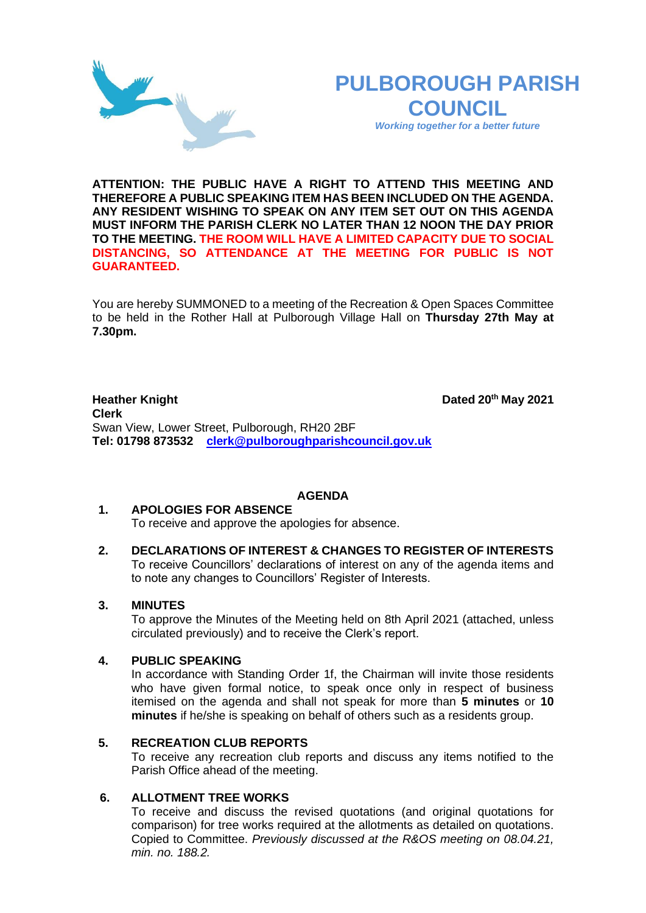# **PULBOROUGH PARISH COUNCIL**

*Working together for a better future*

**ATTENTION: THE PUBLIC HAVE A RIGHT TO ATTEND THIS MEETING AND THEREFORE A PUBLIC SPEAKING ITEM HAS BEEN INCLUDED ON THE AGENDA. ANY RESIDENT WISHING TO SPEAK ON ANY ITEM SET OUT ON THIS AGENDA MUST INFORM THE PARISH CLERK NO LATER THAN 12 NOON THE DAY PRIOR TO THE MEETING. THE ROOM WILL HAVE A LIMITED CAPACITY DUE TO SOCIAL DISTANCING, SO ATTENDANCE AT THE MEETING FOR PUBLIC IS NOT GUARANTEED.**

You are hereby SUMMONED to a meeting of the Recreation & Open Spaces Committee to be held in the Rother Hall at Pulborough Village Hall on **Thursday 27th May at 7.30pm.** 

**Heather Knight Dated** 20<sup>th</sup> May 2021 **Clerk**  Swan View, Lower Street, Pulborough, RH20 2BF **Tel: 01798 873532 [clerk@pulboroughparishcouncil.gov.uk](mailto:clerk@pulboroughparishcouncil.gov.uk)**

## **AGENDA**

## **1. APOLOGIES FOR ABSENCE**

To receive and approve the apologies for absence.

**2. DECLARATIONS OF INTEREST & CHANGES TO REGISTER OF INTERESTS** To receive Councillors' declarations of interest on any of the agenda items and to note any changes to Councillors' Register of Interests.

## **3. MINUTES**

To approve the Minutes of the Meeting held on 8th April 2021 (attached, unless circulated previously) and to receive the Clerk's report.

## **4. PUBLIC SPEAKING**

In accordance with Standing Order 1f, the Chairman will invite those residents who have given formal notice, to speak once only in respect of business itemised on the agenda and shall not speak for more than **5 minutes** or **10 minutes** if he/she is speaking on behalf of others such as a residents group.

## **5. RECREATION CLUB REPORTS**

To receive any recreation club reports and discuss any items notified to the Parish Office ahead of the meeting.

## **6. ALLOTMENT TREE WORKS**

To receive and discuss the revised quotations (and original quotations for comparison) for tree works required at the allotments as detailed on quotations. Copied to Committee. *Previously discussed at the R&OS meeting on 08.04.21, min. no. 188.2.*